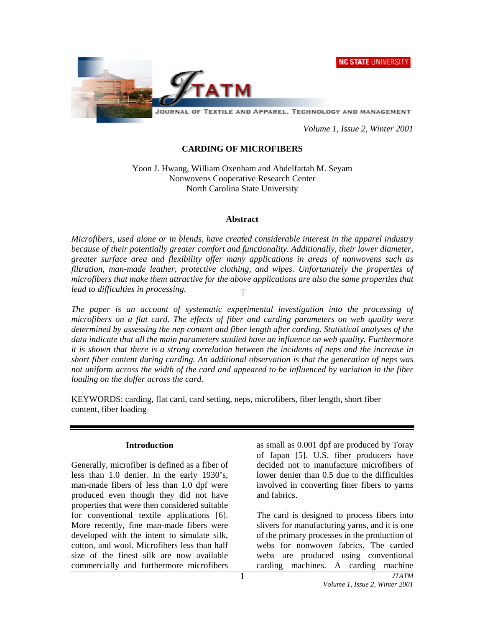**NC STATE UNIVERSITY** 



*Volume 1, Issue 2, Winter 2001* 

#### **CARDING OF MICROFIBERS**

Yoon J. Hwang, William Oxenham and Abdelfattah M. Seyam Nonwovens Cooperative Research Center North Carolina State University

#### **Abstract**

*Microfibers, used alone or in blends, have created considerable interest in the apparel industry because of their potentially greater comfort and functionality. Additionally, their lower diameter, greater surface area and flexibility offer many applications in areas of nonwovens such as filtration, man-made leather, protective clothing, and wipes. Unfortunately the properties of microfibers that make them attractive for the above applications are also the same properties that lead to difficulties in processing.* 

*The paper is an account of systematic experimental investigation into the processing of microfibers on a flat card. The effects of fiber and carding parameters on web quality were determined by assessing the nep content and fiber length after carding. Statistical analyses of the data indicate that all the main parameters studied have an influence on web quality. Furthermore it is shown that there is a strong correlation between the incidents of neps and the increase in short fiber content during carding. An additional observation is that the generation of neps was not uniform across the width of the card and appeared to be influenced by variation in the fiber loading on the doffer across the card.* 

KEYWORDS: carding, flat card, card setting, neps, microfibers, fiber length, short fiber content, fiber loading

#### **Introduction**

Generally, microfiber is defined as a fiber of less than 1.0 denier. In the early 1930's, man-made fibers of less than 1.0 dpf were produced even though they did not have properties that were then considered suitable for conventional textile applications [6]. More recently, fine man-made fibers were developed with the intent to simulate silk, cotton, and wool. Microfibers less than half size of the finest silk are now available commercially and furthermore microfibers

as small as 0.001 dpf are produced by Toray of Japan [5]. U.S. fiber producers have decided not to manufacture microfibers of lower denier than 0.5 due to the difficulties involved in converting finer fibers to yarns and fabrics.

The card is designed to process fibers into slivers for manufacturing yarns, and it is one of the primary processes in the production of webs for nonwoven fabrics. The carded webs are produced using conventional carding machines. A carding machine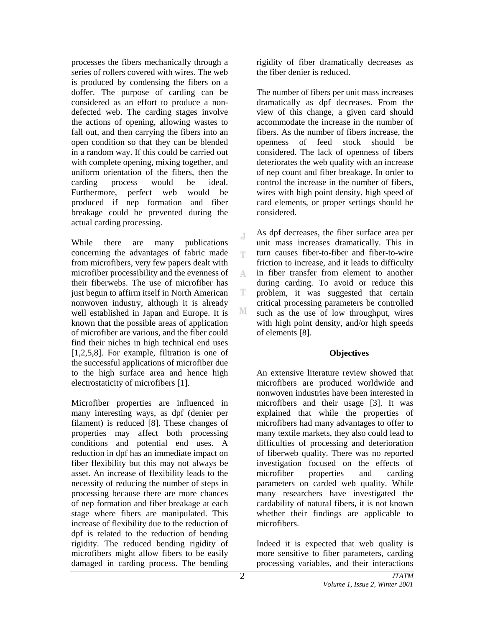processes the fibers mechanically through a series of rollers covered with wires. The web is produced by condensing the fibers on a doffer. The purpose of carding can be considered as an effort to produce a nondefected web. The carding stages involve the actions of opening, allowing wastes to fall out, and then carrying the fibers into an open condition so that they can be blended in a random way. If this could be carried out with complete opening, mixing together, and uniform orientation of the fibers, then the carding process would be ideal. Furthermore, perfect web would be produced if nep formation and fiber breakage could be prevented during the actual carding processing.

While there are many publications concerning the advantages of fabric made from microfibers, very few papers dealt with microfiber processibility and the evenness of their fiberwebs. The use of microfiber has just begun to affirm itself in North American nonwoven industry, although it is already well established in Japan and Europe. It is known that the possible areas of application of microfiber are various, and the fiber could find their niches in high technical end uses [1,2,5,8]. For example, filtration is one of the successful applications of microfiber due to the high surface area and hence high electrostaticity of microfibers [1].

Microfiber properties are influenced in many interesting ways, as dpf (denier per filament) is reduced [8]. These changes of properties may affect both processing conditions and potential end uses. A reduction in dpf has an immediate impact on fiber flexibility but this may not always be asset. An increase of flexibility leads to the necessity of reducing the number of steps in processing because there are more chances of nep formation and fiber breakage at each stage where fibers are manipulated. This increase of flexibility due to the reduction of dpf is related to the reduction of bending rigidity. The reduced bending rigidity of microfibers might allow fibers to be easily damaged in carding process. The bending

rigidity of fiber dramatically decreases as the fiber denier is reduced.

The number of fibers per unit mass increases dramatically as dpf decreases. From the view of this change, a given card should accommodate the increase in the number of fibers. As the number of fibers increase, the openness of feed stock should be considered. The lack of openness of fibers deteriorates the web quality with an increase of nep count and fiber breakage. In order to control the increase in the number of fibers, wires with high point density, high speed of card elements, or proper settings should be considered.

As dpf decreases, the fiber surface area per unit mass increases dramatically. This in turn causes fiber-to-fiber and fiber-to-wire T friction to increase, and it leads to difficulty in fiber transfer from element to another A during carding. To avoid or reduce this problem, it was suggested that certain critical processing parameters be controlled such as the use of low throughput, wires with high point density, and/or high speeds of elements [8].

### **Objectives**

An extensive literature review showed that microfibers are produced worldwide and nonwoven industries have been interested in microfibers and their usage [3]. It was explained that while the properties of microfibers had many advantages to offer to many textile markets, they also could lead to difficulties of processing and deterioration of fiberweb quality. There was no reported investigation focused on the effects of microfiber properties and carding parameters on carded web quality. While many researchers have investigated the cardability of natural fibers, it is not known whether their findings are applicable to microfibers.

Indeed it is expected that web quality is more sensitive to fiber parameters, carding processing variables, and their interactions

J.

T

М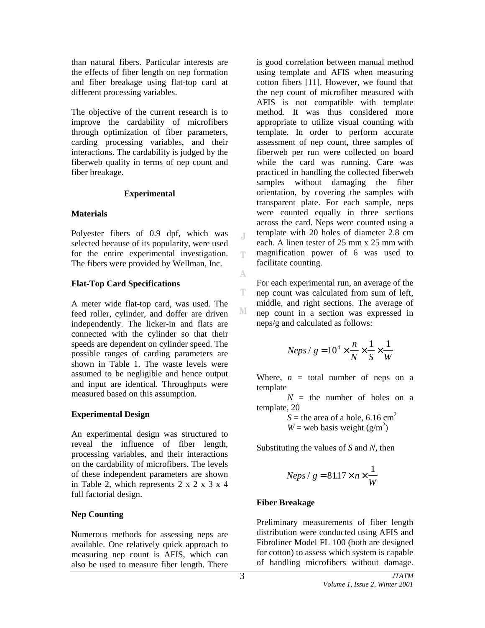than natural fibers. Particular interests are the effects of fiber length on nep formation and fiber breakage using flat-top card at different processing variables.

The objective of the current research is to improve the cardability of microfibers through optimization of fiber parameters, carding processing variables, and their interactions. The cardability is judged by the fiberweb quality in terms of nep count and fiber breakage.

#### **Experimental**

### **Materials**

Polyester fibers of 0.9 dpf, which was selected because of its popularity, were used for the entire experimental investigation. The fibers were provided by Wellman, Inc.

# **Flat-Top Card Specifications**

A meter wide flat-top card, was used. The feed roller, cylinder, and doffer are driven independently. The licker-in and flats are connected with the cylinder so that their speeds are dependent on cylinder speed. The possible ranges of carding parameters are shown in Table 1. The waste levels were assumed to be negligible and hence output and input are identical. Throughputs were measured based on this assumption.

### **Experimental Design**

An experimental design was structured to reveal the influence of fiber length, processing variables, and their interactions on the cardability of microfibers. The levels of these independent parameters are shown in Table 2, which represents 2 x 2 x 3 x 4 full factorial design.

# **Nep Counting**

Numerous methods for assessing neps are available. One relatively quick approach to measuring nep count is AFIS, which can also be used to measure fiber length. There

is good correlation between manual method using template and AFIS when measuring cotton fibers [11]. However, we found that the nep count of microfiber measured with AFIS is not compatible with template method. It was thus considered more appropriate to utilize visual counting with template. In order to perform accurate assessment of nep count, three samples of fiberweb per run were collected on board while the card was running. Care was practiced in handling the collected fiberweb samples without damaging the fiber orientation, by covering the samples with transparent plate. For each sample, neps were counted equally in three sections across the card. Neps were counted using a template with 20 holes of diameter 2.8 cm each. A linen tester of 25 mm x 25 mm with magnification power of 6 was used to facilitate counting.

For each experimental run, an average of the nep count was calculated from sum of left, middle, and right sections. The average of nep count in a section was expressed in neps/g and calculated as follows:

$$
Neps / g = 10^4 \times \frac{n}{N} \times \frac{1}{S} \times \frac{1}{W}
$$

Where,  $n =$  total number of neps on a template

 $N =$  the number of holes on a template, 20

 $S =$  the area of a hole, 6.16 cm<sup>2</sup>  $W =$  web basis weight  $(g/m^2)$ 

Substituting the values of *S* and *N*, then

$$
Neps / g = 81.17 \times n \times \frac{1}{W}
$$

### **Fiber Breakage**

Preliminary measurements of fiber length distribution were conducted using AFIS and Fibroliner Model FL 100 (both are designed for cotton) to assess which system is capable of handling microfibers without damage.

J

T.

A

T.

M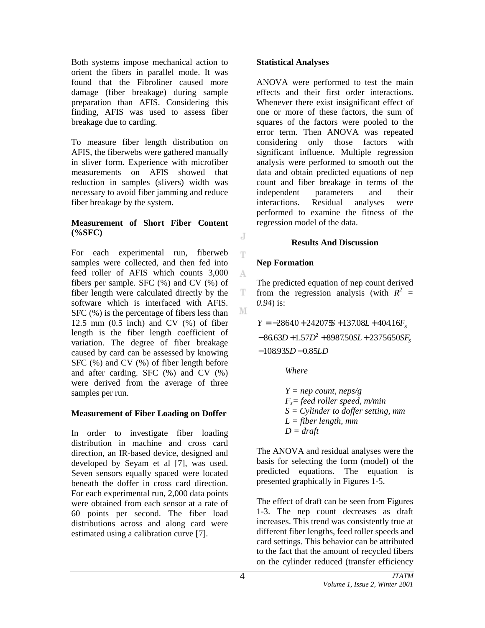Both systems impose mechanical action to orient the fibers in parallel mode. It was found that the Fibroliner caused more damage (fiber breakage) during sample preparation than AFIS. Considering this finding, AFIS was used to assess fiber breakage due to carding.

To measure fiber length distribution on AFIS, the fiberwebs were gathered manually in sliver form. Experience with microfiber measurements on AFIS showed that reduction in samples (slivers) width was necessary to avoid fiber jamming and reduce fiber breakage by the system.

### **Measurement of Short Fiber Content (%SFC)**

For each experimental run, fiberweb samples were collected, and then fed into feed roller of AFIS which counts 3,000 fibers per sample. SFC (%) and CV (%) of fiber length were calculated directly by the software which is interfaced with AFIS. SFC (%) is the percentage of fibers less than 12.5 mm  $(0.5$  inch) and CV  $(\%)$  of fiber length is the fiber length coefficient of variation. The degree of fiber breakage caused by card can be assessed by knowing SFC (%) and CV (%) of fiber length before and after carding. SFC (%) and CV (%) were derived from the average of three samples per run.

### **Measurement of Fiber Loading on Doffer**

In order to investigate fiber loading distribution in machine and cross card direction, an IR-based device, designed and developed by Seyam et al [7], was used. Seven sensors equally spaced were located beneath the doffer in cross card direction. For each experimental run, 2,000 data points were obtained from each sensor at a rate of 60 points per second. The fiber load distributions across and along card were estimated using a calibration curve [7].

### **Statistical Analyses**

ANOVA were performed to test the main effects and their first order interactions. Whenever there exist insignificant effect of one or more of these factors, the sum of squares of the factors were pooled to the error term. Then ANOVA was repeated considering only those factors with significant influence. Multiple regression analysis were performed to smooth out the data and obtain predicted equations of nep count and fiber breakage in terms of the independent parameters and their interactions. Residual analyses were performed to examine the fitness of the regression model of the data.

# **Results And Discussion**

# **Nep Formation**

J

T

A

T

M

The predicted equation of nep count derived from the regression analysis (with  $R^2$  = *0.94*) is:

 $-108.93SD - 0.85LD$  $-86.63D + 1.57D^2 + 8987.50SL + 2375650SF_s$  $Y = -28640 + 242075 + 137.08L + 404.16F_s$ 

*Where* 

*Y = nep count, neps/g Fs= feed roller speed, m/min S = Cylinder to doffer setting, mm L = fiber length, mm*   $D = draft$ 

The ANOVA and residual analyses were the basis for selecting the form (model) of the predicted equations. The equation is presented graphically in Figures 1-5.

The effect of draft can be seen from Figures 1-3. The nep count decreases as draft increases. This trend was consistently true at different fiber lengths, feed roller speeds and card settings. This behavior can be attributed to the fact that the amount of recycled fibers on the cylinder reduced (transfer efficiency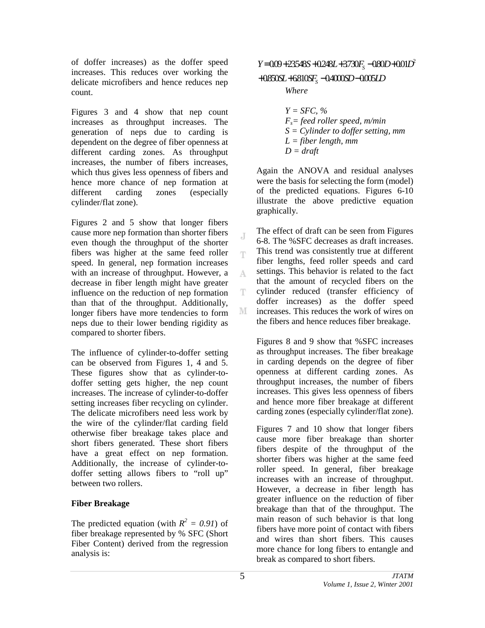of doffer increases) as the doffer speed increases. This reduces over working the delicate microfibers and hence reduces nep count.

Figures 3 and 4 show that nep count increases as throughput increases. The generation of neps due to carding is dependent on the degree of fiber openness at different carding zones. As throughput increases, the number of fibers increases, which thus gives less openness of fibers and hence more chance of nep formation at different carding zones (especially cylinder/flat zone).

Figures 2 and 5 show that longer fibers cause more nep formation than shorter fibers even though the throughput of the shorter fibers was higher at the same feed roller speed. In general, nep formation increases with an increase of throughput. However, a decrease in fiber length might have greater influence on the reduction of nep formation than that of the throughput. Additionally, longer fibers have more tendencies to form neps due to their lower bending rigidity as compared to shorter fibers.

The influence of cylinder-to-doffer setting can be observed from Figures 1, 4 and 5. These figures show that as cylinder-todoffer setting gets higher, the nep count increases. The increase of cylinder-to-doffer setting increases fiber recycling on cylinder. The delicate microfibers need less work by the wire of the cylinder/flat carding field otherwise fiber breakage takes place and short fibers generated. These short fibers have a great effect on nep formation. Additionally, the increase of cylinder-todoffer setting allows fibers to "roll up" between two rollers.

# **Fiber Breakage**

The predicted equation (with  $R^2 = 0.91$ ) of fiber breakage represented by % SFC (Short Fiber Content) derived from the regression analysis is:

 $Y = 0.09 + 23548S + 0.248L + 3730F<sub>s</sub> - 0.80D + 0.01D<sup>2</sup>$ 

+0850SL+6810SF<sub>S</sub>-04000SD-0005LD

*Where* 

*Y = SFC, % Fs= feed roller speed, m/min S = Cylinder to doffer setting, mm L = fiber length, mm*   $D = draft$ 

Again the ANOVA and residual analyses were the basis for selecting the form (model) of the predicted equations. Figures 6-10 illustrate the above predictive equation graphically.

The effect of draft can be seen from Figures 6-8. The %SFC decreases as draft increases. This trend was consistently true at different fiber lengths, feed roller speeds and card settings. This behavior is related to the fact that the amount of recycled fibers on the cylinder reduced (transfer efficiency of doffer increases) as the doffer speed increases. This reduces the work of wires on the fibers and hence reduces fiber breakage.

Figures 8 and 9 show that %SFC increases as throughput increases. The fiber breakage in carding depends on the degree of fiber openness at different carding zones. As throughput increases, the number of fibers increases. This gives less openness of fibers and hence more fiber breakage at different carding zones (especially cylinder/flat zone).

Figures 7 and 10 show that longer fibers cause more fiber breakage than shorter fibers despite of the throughput of the shorter fibers was higher at the same feed roller speed. In general, fiber breakage increases with an increase of throughput. However, a decrease in fiber length has greater influence on the reduction of fiber breakage than that of the throughput. The main reason of such behavior is that long fibers have more point of contact with fibers and wires than short fibers. This causes more chance for long fibers to entangle and break as compared to short fibers.

J

Ŧ

A

Ŧ

М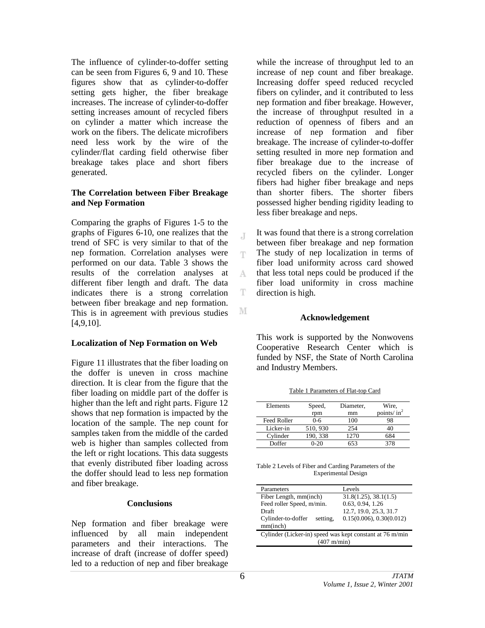The influence of cylinder-to-doffer setting can be seen from Figures 6, 9 and 10. These figures show that as cylinder-to-doffer setting gets higher, the fiber breakage increases. The increase of cylinder-to-doffer setting increases amount of recycled fibers on cylinder a matter which increase the work on the fibers. The delicate microfibers need less work by the wire of the cylinder/flat carding field otherwise fiber breakage takes place and short fibers generated.

#### **The Correlation between Fiber Breakage and Nep Formation**

Comparing the graphs of Figures 1-5 to the graphs of Figures 6-10, one realizes that the trend of SFC is very similar to that of the nep formation. Correlation analyses were performed on our data. Table 3 shows the results of the correlation analyses at different fiber length and draft. The data indicates there is a strong correlation between fiber breakage and nep formation. This is in agreement with previous studies [4,9,10].

### **Localization of Nep Formation on Web**

Figure 11 illustrates that the fiber loading on the doffer is uneven in cross machine direction. It is clear from the figure that the fiber loading on middle part of the doffer is higher than the left and right parts. Figure 12 shows that nep formation is impacted by the location of the sample. The nep count for samples taken from the middle of the carded web is higher than samples collected from the left or right locations. This data suggests that evenly distributed fiber loading across the doffer should lead to less nep formation and fiber breakage.

### **Conclusions**

Nep formation and fiber breakage were influenced by all main independent parameters and their interactions. The increase of draft (increase of doffer speed) led to a reduction of nep and fiber breakage

while the increase of throughput led to an increase of nep count and fiber breakage. Increasing doffer speed reduced recycled fibers on cylinder, and it contributed to less nep formation and fiber breakage. However, the increase of throughput resulted in a reduction of openness of fibers and an increase of nep formation and fiber breakage. The increase of cylinder-to-doffer setting resulted in more nep formation and fiber breakage due to the increase of recycled fibers on the cylinder. Longer fibers had higher fiber breakage and neps than shorter fibers. The shorter fibers possessed higher bending rigidity leading to less fiber breakage and neps.

It was found that there is a strong correlation between fiber breakage and nep formation The study of nep localization in terms of T. fiber load uniformity across card showed that less total neps could be produced if the A fiber load uniformity in cross machine T direction is high.

#### **Acknowledgement**

This work is supported by the Nonwovens Cooperative Research Center which is funded by NSF, the State of North Carolina and Industry Members.

| Elements           | Speed,   | Diameter, | Wire.          |
|--------------------|----------|-----------|----------------|
|                    | rpm      | mm        | points/ $in^2$ |
| <b>Feed Roller</b> | $0 - 6$  | 100       | 98             |
| Licker-in          | 510, 930 | 254       | 40             |
| Cylinder           | 190, 338 | 1270      | 684            |
| Doffer             | 0-20     | 653       | 378            |

Table 1 Parameters of Flat-top Card

Table 2 Levels of Fiber and Carding Parameters of the Experimental Design

| Parameters                                                                        | <b>Levels</b>            |  |  |  |
|-----------------------------------------------------------------------------------|--------------------------|--|--|--|
| Fiber Length, mm(inch)                                                            | 31.8(1.25), 38.1(1.5)    |  |  |  |
| Feed roller Speed, m/min.                                                         | 0.63, 0.94, 1.26         |  |  |  |
| Draft                                                                             | 12.7, 19.0, 25.3, 31.7   |  |  |  |
| Cylinder-to-doffer<br>setting,<br>mm(inch)                                        | 0.15(0.006), 0.30(0.012) |  |  |  |
| Cylinder (Licker-in) speed was kept constant at 76 m/min<br>$(407 \text{ m/min})$ |                          |  |  |  |

 $\overline{A}$ 

М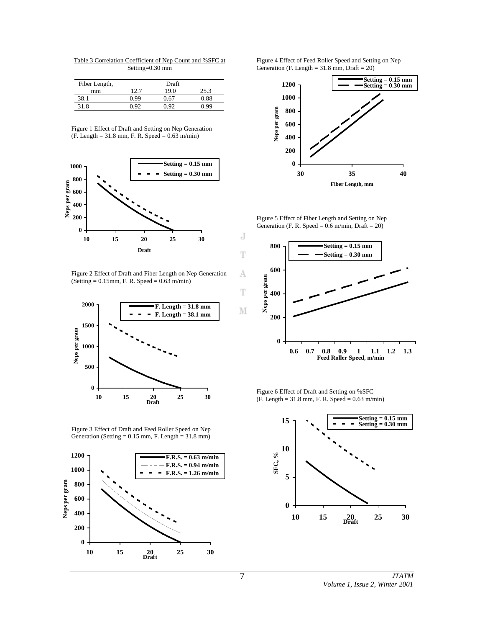Table 3 Correlation Coefficient of Nep Count and %SFC at Setting=0.30 mm

| Fiber Length, | Draft |      |      |
|---------------|-------|------|------|
| mm            | 12.7  | 19.0 | 25.3 |
| 38            | 0.99  | .67  | 0.88 |
| 31.8          |       |      |      |

Figure 1 Effect of Draft and Setting on Nep Generation  $(F. Length = 31.8 mm, F. R. Speed = 0.63 m/min)$ 



Figure 2 Effect of Draft and Fiber Length on Nep Generation  $(Setting = 0.15mm, F. R. Speed = 0.63 m/min)$ 



Figure 3 Effect of Draft and Feed Roller Speed on Nep Generation (Setting  $= 0.15$  mm, F. Length  $= 31.8$  mm)



Figure 4 Effect of Feed Roller Speed and Setting on Nep Generation (F. Length  $= 31.8$  mm, Draft  $= 20$ )



Figure 5 Effect of Fiber Length and Setting on Nep Generation (F. R. Speed =  $0.6$  m/min, Draft =  $20$ )



Figure 6 Effect of Draft and Setting on %SFC (F. Length = 31.8 mm, F. R. Speed = 0.63 m/min)

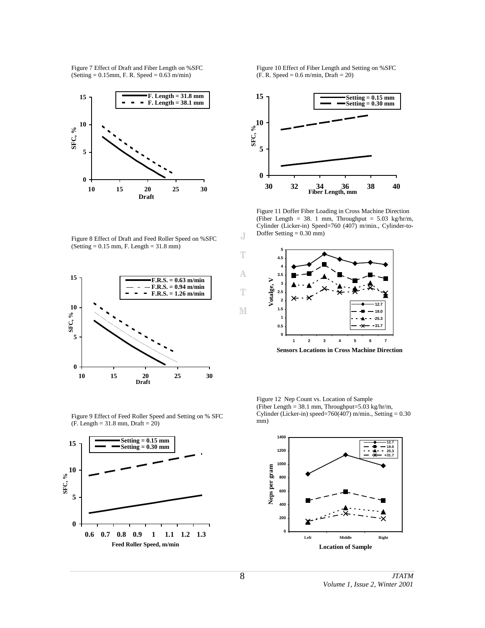Figure 7 Effect of Draft and Fiber Length on %SFC  $(Setting = 0.15mm, F. R. Speed = 0.63 m/min)$ 



Figure 8 Effect of Draft and Feed Roller Speed on %SFC (Setting = 0.15 mm, F. Length = 31.8 mm)



Figure 9 Effect of Feed Roller Speed and Setting on % SFC  $(F. Length = 31.8 mm, Draft = 20)$ 



Figure 10 Effect of Fiber Length and Setting on %SFC  $(F. R. Speed = 0.6 m/min, Draft = 20)$ 



Figure 11 Doffer Fiber Loading in Cross Machine Direction (Fiber Length = 38. 1 mm, Throughput =  $5.03 \text{ kg/hr/m}$ , Cylinder (Licker-in) Speed=760 (407) m/min., Cylinder-to-Doffer Setting = 0.30 mm)



**Sensors Locations in Cross Machine Direction**

Figure 12 Nep Count vs. Location of Sample (Fiber Length = 38.1 mm, Throughput=5.03 kg/hr/m, Cylinder (Licker-in) speed=760(407) m/min., Setting =  $0.30$ mm)



J

T

A

T

M